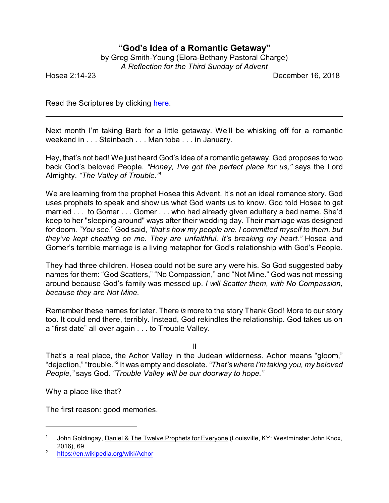## **"God's Idea of a Romantic Getaway"**

| by Greg Smith-Young (Elora-Bethany Pastoral Charge) |  |
|-----------------------------------------------------|--|
| A Reflection for the Third Sunday of Advent         |  |

Hosea 2:14-23 December 16, 2018

Read the Scriptures by clicking [here](https://www.biblegateway.com/passage/?search=Hosea+2.14-23&version=CEB).

Next month I'm taking Barb for a little getaway. We'll be whisking off for a romantic weekend in . . . Steinbach . . . Manitoba . . . in January.

Hey, that's not bad! We just heard God's idea of a romantic getaway. God proposes to woo back God's beloved People. *"Honey, I've got the perfect place for us,"* says the Lord Almighty. *"The Valley of Trouble."<sup>1</sup>*

We are learning from the prophet Hosea this Advent. It's not an ideal romance story. God uses prophets to speak and show us what God wants us to know. God told Hosea to get married . . . to Gomer . . . Gomer . . . who had already given adultery a bad name. She'd keep to her "sleeping around" ways after their wedding day. Their marriage was designed for doom. *"You see*," God said, *"that's how my people are. I committed myself to them, but they've kept cheating on me. They are unfaithful. It's breaking my heart."* Hosea and Gomer's terrible marriage is a living metaphor for God's relationship with God's People.

They had three children. Hosea could not be sure any were his. So God suggested baby names for them: "God Scatters," "No Compassion," and "Not Mine." God was not messing around because God's family was messed up. *I will Scatter them, with No Compassion, because they are Not Mine.*

Remember these names for later. There *is* more to the story Thank God! More to our story too. It could end there, terribly. Instead, God rekindles the relationship. God takes us on a "first date" all over again . . . to Trouble Valley.

II

That's a real place, the Achor Valley in the Judean wilderness. Achor means "gloom," "dejection," "trouble."<sup>2</sup> It was empty and desolate. *"That's where I'm taking you, my beloved People,"* says God. *"Trouble Valley will be our doorway to hope."*

Why a place like that?

The first reason: good memories.

<sup>1</sup> John Goldingay, Daniel & The Twelve Prophets for Everyone (Louisville, KY: Westminster John Knox, 2016), 69.

<sup>2</sup> <https://en.wikipedia.org/wiki/Achor>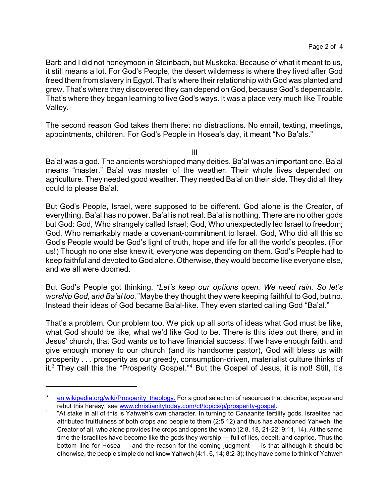Barb and I did not honeymoon in Steinbach, but Muskoka. Because of what it meant to us, it still means a lot. For God's People, the desert wilderness is where they lived after God freed them from slavery in Egypt. That's where their relationship with God was planted and grew. That's where they discovered they can depend on God, because God's dependable. That's where they began learning to live God's ways. It was a place very much like Trouble Valley.

The second reason God takes them there: no distractions. No email, texting, meetings, appointments, children. For God's People in Hosea's day, it meant "No Ba'als."

III

Ba'al was a god. The ancients worshipped many deities. Ba'al was an important one. Ba'al means "master." Ba'al was master of the weather. Their whole lives depended on agriculture. They needed good weather. They needed Ba'al on their side. They did all they could to please Ba'al.

But God's People, Israel, were supposed to be different. God alone is the Creator, of everything. Ba'al has no power. Ba'al is not real. Ba'al is nothing. There are no other gods but God: God, Who strangely called Israel; God, Who unexpectedly led Israel to freedom; God, Who remarkably made a covenant-commitment to Israel. God, Who did all this so God's People would be God's light of truth, hope and life for all the world's peoples. (For us!) Though no one else knew it, everyone was depending on them. God's People had to keep faithful and devoted to God alone. Otherwise, they would become like everyone else, and we all were doomed.

But God's People got thinking. *"Let's keep our options open. We need rain. So let's worship God, and Ba'al too."* Maybe they thought they were keeping faithful to God, but no. Instead their ideas of God became Ba'al-like. They even started calling God "Ba'al."

That's a problem. Our problem too. We pick up all sorts of ideas what God must be like, what God should be like, what we'd like God to be. There is this idea out there, and in Jesus' church, that God wants us to have financial success. If we have enough faith, and give enough money to our church (and its handsome pastor), God will bless us with prosperity . . . prosperity as our greedy, consumption-driven, materialist culture thinks of it.<sup>3</sup> They call this the "Prosperity Gospel."<sup>4</sup> But the Gospel of Jesus, it is not! Still, it's

<sup>&</sup>lt;sup>3</sup> en.wikipedia.org/wiki/Prosperity theology. For a good selection of resources that describe, expose and rebut this heresy, see [www.christianitytoday.com/ct/topics/p/prosperity-gospel](http://www.christianitytoday.com/ct/topics/p/prosperity-gospel).

<sup>4</sup> "At stake in all of this is Yahweh's own character. In turning to Canaanite fertility gods, Israelites had attributed fruitfulness of both crops and people to them (2:5,12) and thus has abandoned Yahweh, the Creator of all, who alone provides the crops and opens the womb (2:8, 18, 21-22; 9:11, 14). At the same time the Israelites have become like the gods they worship — full of lies, deceit, and caprice. Thus the bottom line for Hosea — and the reason for the coming judgment — is that although it should be otherwise, the people simple do not know Yahweh (4:1, 6, 14; 8:2-3); they have come to think of Yahweh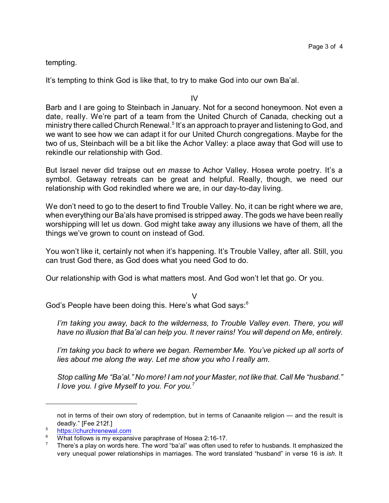tempting.

It's tempting to think God is like that, to try to make God into our own Ba'al.

IV

Barb and I are going to Steinbach in January. Not for a second honeymoon. Not even a date, really. We're part of a team from the United Church of Canada, checking out a ministry there called Church Renewal.<sup>5</sup> It's an approach to prayer and listening to God, and we want to see how we can adapt it for our United Church congregations. Maybe for the two of us, Steinbach will be a bit like the Achor Valley: a place away that God will use to rekindle our relationship with God.

But Israel never did traipse out *en masse* to Achor Valley. Hosea wrote poetry. It's a symbol. Getaway retreats can be great and helpful. Really, though, we need our relationship with God rekindled where we are, in our day-to-day living.

We don't need to go to the desert to find Trouble Valley. No, it can be right where we are, when everything our Ba'als have promised is stripped away. The gods we have been really worshipping will let us down. God might take away any illusions we have of them, all the things we've grown to count on instead of God.

You won't like it, certainly not when it's happening. It's Trouble Valley, after all. Still, you can trust God there, as God does what you need God to do.

Our relationship with God is what matters most. And God won't let that go. Or you.

V

God's People have been doing this. Here's what God says:<sup>6</sup>

*I'm taking you away, back to the wilderness, to Trouble Valley even. There, you will have no illusion that Ba'al can help you. It never rains! You will depend on Me, entirely.* 

*I'm taking you back to where we began. Remember Me. You've picked up all sorts of lies about me along the way. Let me show you who I really am.*

*Stop calling Me "Ba'al." No more! I am not your Master, not like that. Call Me "husband." I love you. I give Myself to you. For you.<sup>7</sup>*

not in terms of their own story of redemption, but in terms of Canaanite religion — and the result is deadly." [Fee 212f.]

 $\frac{5}{100}$  [https://churchrenewal.com](https://churchrenewal.com/)

What follows is my expansive paraphrase of Hosea 2:16-17.

<sup>7</sup> There's a play on words here. The word "ba'al" was often used to refer to husbands. It emphasized the very unequal power relationships in marriages. The word translated "husband" in verse 16 is *ish*. It